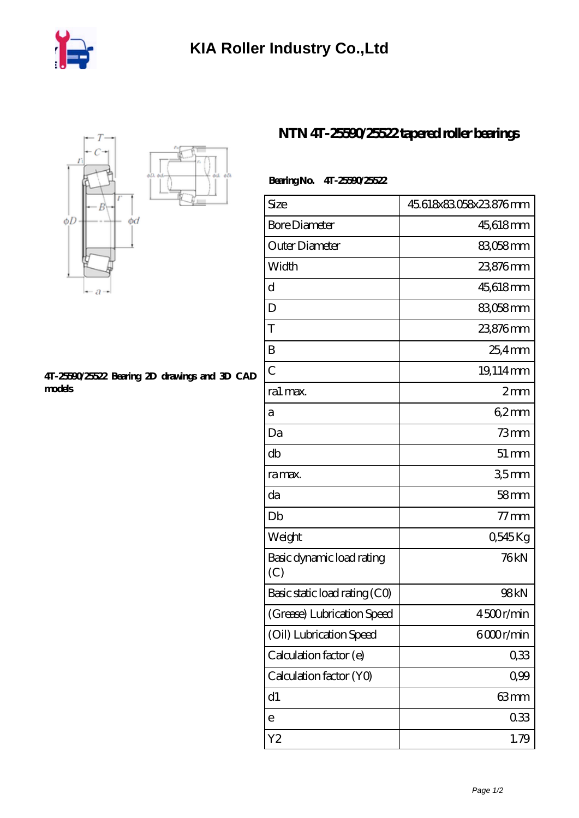



## **[4T-25590/25522 Bearing 2D drawings and 3D CAD](https://iyded.com/pic-65835.html) [models](https://iyded.com/pic-65835.html)**

## **[NTN 4T-25590/25522 tapered roller bearings](https://iyded.com/bs-65835-ntn-4t-25590-25522-tapered-roller-bearings.html)**

## **Bearing No. 4T-25590/25522**

| Size                             | 45.618x83.058x23.876mm |
|----------------------------------|------------------------|
| <b>Bore Diameter</b>             | 45,618mm               |
| Outer Diameter                   | 83,058 mm              |
| Width                            | 23,876mm               |
| d                                | 45,618mm               |
| D                                | 83058mm                |
| T                                | 23,876mm               |
| B                                | 25,4mm                 |
| $\overline{C}$                   | 19,114mm               |
| ra1 max.                         | 2mm                    |
| а                                | $62 \text{mm}$         |
| Da                               | $73$ mm                |
| db                               | $51 \,\mathrm{mm}$     |
| ra max.                          | 35mm                   |
| da                               | 58 <sub>mm</sub>       |
| Db                               | $77 \,\rm{mm}$         |
| Weight                           | 0,545Kg                |
| Basic dynamic load rating<br>(C) | 76kN                   |
| Basic static load rating (CO)    | 98kN                   |
| (Grease) Lubrication Speed       | 4500r/min              |
| (Oil) Lubrication Speed          | 6000r/min              |
| Calculation factor (e)           | 0,33                   |
| Calculation factor (YO)          | 0,99                   |
| d1                               | 63mm                   |
| e                                | 033                    |
| Y2                               | 1.79                   |